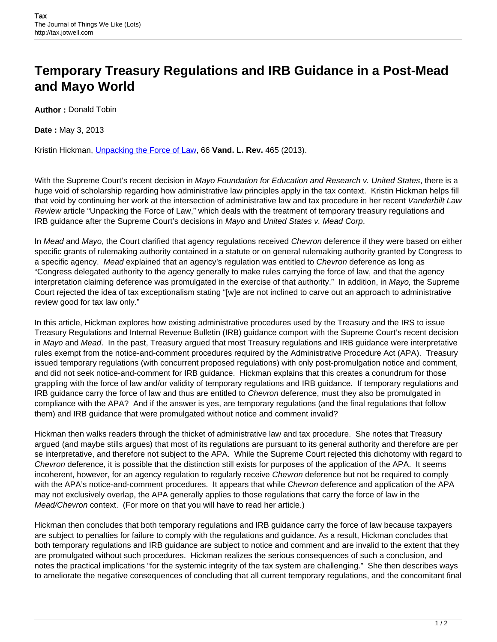## **Temporary Treasury Regulations and IRB Guidance in a Post-Mead and Mayo World**

**Author :** Donald Tobin

**Date :** May 3, 2013

Kristin Hickman, [Unpacking the Force of Law](http://www.vanderbiltlawreview.org/2013/03/unpacking-the-force-of-law/), 66 **Vand. L. Rev.** 465 (2013).

With the Supreme Court's recent decision in Mayo Foundation for Education and Research v. United States, there is a huge void of scholarship regarding how administrative law principles apply in the tax context. Kristin Hickman helps fill that void by continuing her work at the intersection of administrative law and tax procedure in her recent Vanderbilt Law Review article "Unpacking the Force of Law," which deals with the treatment of temporary treasury regulations and IRB guidance after the Supreme Court's decisions in Mayo and United States v. Mead Corp.

In Mead and Mayo, the Court clarified that agency regulations received Chevron deference if they were based on either specific grants of rulemaking authority contained in a statute or on general rulemaking authority granted by Congress to a specific agency. Mead explained that an agency's regulation was entitled to Chevron deference as long as "Congress delegated authority to the agency generally to make rules carrying the force of law, and that the agency interpretation claiming deference was promulgated in the exercise of that authority." In addition, in Mayo, the Supreme Court rejected the idea of tax exceptionalism stating "[w]e are not inclined to carve out an approach to administrative review good for tax law only."

In this article, Hickman explores how existing administrative procedures used by the Treasury and the IRS to issue Treasury Regulations and Internal Revenue Bulletin (IRB) guidance comport with the Supreme Court's recent decision in Mayo and Mead. In the past, Treasury argued that most Treasury regulations and IRB guidance were interpretative rules exempt from the notice-and-comment procedures required by the Administrative Procedure Act (APA). Treasury issued temporary regulations (with concurrent proposed regulations) with only post-promulgation notice and comment, and did not seek notice-and-comment for IRB guidance. Hickman explains that this creates a conundrum for those grappling with the force of law and/or validity of temporary regulations and IRB guidance. If temporary regulations and IRB guidance carry the force of law and thus are entitled to Chevron deference, must they also be promulgated in compliance with the APA? And if the answer is yes, are temporary regulations (and the final regulations that follow them) and IRB guidance that were promulgated without notice and comment invalid?

Hickman then walks readers through the thicket of administrative law and tax procedure. She notes that Treasury argued (and maybe stills argues) that most of its regulations are pursuant to its general authority and therefore are per se interpretative, and therefore not subject to the APA. While the Supreme Court rejected this dichotomy with regard to Chevron deference, it is possible that the distinction still exists for purposes of the application of the APA. It seems incoherent, however, for an agency regulation to regularly receive Chevron deference but not be required to comply with the APA's notice-and-comment procedures. It appears that while Chevron deference and application of the APA may not exclusively overlap, the APA generally applies to those regulations that carry the force of law in the Mead/Chevron context. (For more on that you will have to read her article.)

Hickman then concludes that both temporary regulations and IRB guidance carry the force of law because taxpayers are subject to penalties for failure to comply with the regulations and guidance. As a result, Hickman concludes that both temporary regulations and IRB guidance are subject to notice and comment and are invalid to the extent that they are promulgated without such procedures. Hickman realizes the serious consequences of such a conclusion, and notes the practical implications "for the systemic integrity of the tax system are challenging." She then describes ways to ameliorate the negative consequences of concluding that all current temporary regulations, and the concomitant final